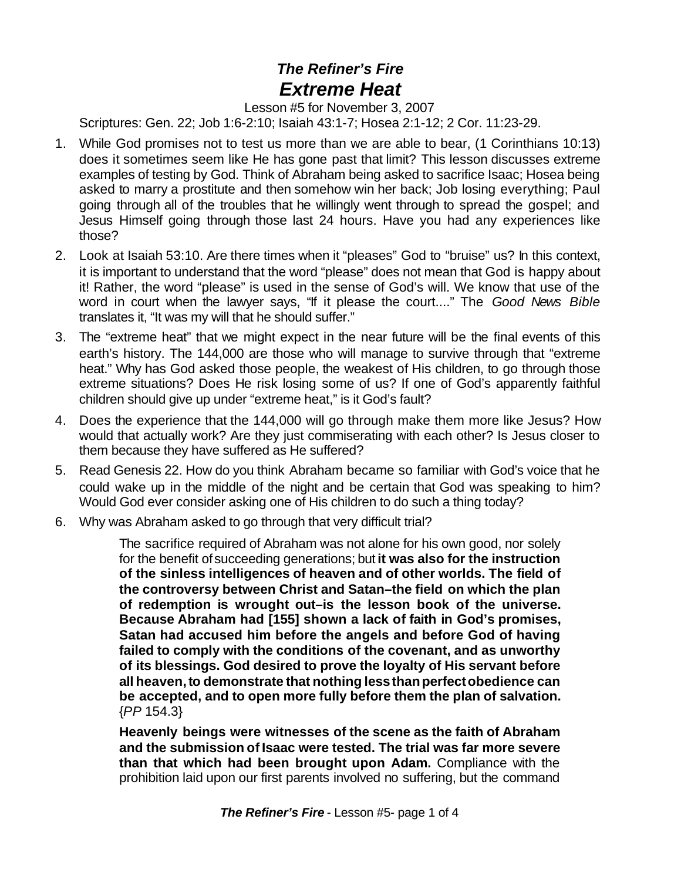## *The Refiner's Fire Extreme Heat*

Lesson #5 for November 3, 2007

Scriptures: Gen. 22; Job 1:6-2:10; Isaiah 43:1-7; Hosea 2:1-12; 2 Cor. 11:23-29.

- 1. While God promises not to test us more than we are able to bear, (1 Corinthians 10:13) does it sometimes seem like He has gone past that limit? This lesson discusses extreme examples of testing by God. Think of Abraham being asked to sacrifice Isaac; Hosea being asked to marry a prostitute and then somehow win her back; Job losing everything; Paul going through all of the troubles that he willingly went through to spread the gospel; and Jesus Himself going through those last 24 hours. Have you had any experiences like those?
- 2. Look at Isaiah 53:10. Are there times when it "pleases" God to "bruise" us? In this context, it is important to understand that the word "please" does not mean that God is happy about it! Rather, the word "please" is used in the sense of God's will. We know that use of the word in court when the lawyer says, "If it please the court...." The *Good News Bible* translates it, "It was my will that he should suffer."
- 3. The "extreme heat" that we might expect in the near future will be the final events of this earth's history. The 144,000 are those who will manage to survive through that "extreme heat." Why has God asked those people, the weakest of His children, to go through those extreme situations? Does He risk losing some of us? If one of God's apparently faithful children should give up under "extreme heat," is it God's fault?
- 4. Does the experience that the 144,000 will go through make them more like Jesus? How would that actually work? Are they just commiserating with each other? Is Jesus closer to them because they have suffered as He suffered?
- 5. Read Genesis 22. How do you think Abraham became so familiar with God's voice that he could wake up in the middle of the night and be certain that God was speaking to him? Would God ever consider asking one of His children to do such a thing today?
- 6. Why was Abraham asked to go through that very difficult trial?

The sacrifice required of Abraham was not alone for his own good, nor solely for the benefit ofsucceeding generations; but **it was also for the instruction of the sinless intelligences of heaven and of other worlds. The field of the controversy between Christ and Satan–the field on which the plan of redemption is wrought out–is the lesson book of the universe. Because Abraham had [155] shown a lack of faith in God's promises, Satan had accused him before the angels and before God of having failed to comply with the conditions of the covenant, and as unworthy of its blessings. God desired to prove the loyalty of His servant before all heaven,to demonstrate that nothing lessthanperfectobedience can be accepted, and to open more fully before them the plan of salvation.** {*PP* 154.3}

**Heavenly beings were witnesses of the scene as the faith of Abraham and the submission ofIsaac were tested. The trial was far more severe than that which had been brought upon Adam.** Compliance with the prohibition laid upon our first parents involved no suffering, but the command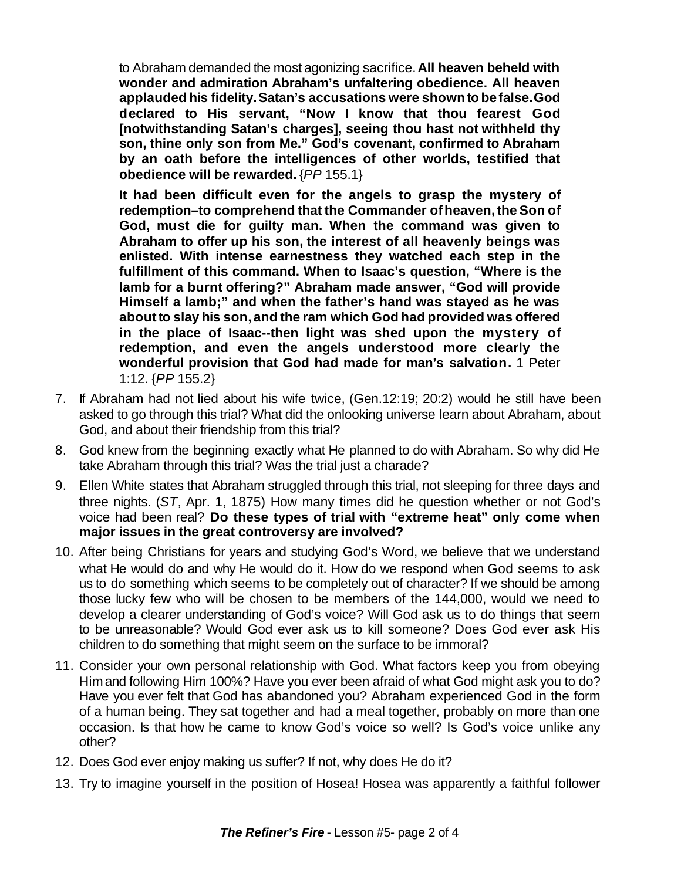to Abraham demanded the most agonizing sacrifice.**All heaven beheld with wonder and admiration Abraham's unfaltering obedience. All heaven applauded his fidelity.Satan's accusations were shownto befalse.God declared to His servant, "Now I know that thou fearest God [notwithstanding Satan's charges], seeing thou hast not withheld thy son, thine only son from Me." God's covenant, confirmed to Abraham by an oath before the intelligences of other worlds, testified that obedience will be rewarded.** {*PP* 155.1}

**It had been difficult even for the angels to grasp the mystery of redemption–to comprehend that the Commander ofheaven,the Son of God, must die for guilty man. When the command was given to Abraham to offer up his son, the interest of all heavenly beings was enlisted. With intense earnestness they watched each step in the fulfillment of this command. When to Isaac's question, "Where is the lamb for a burnt offering?" Abraham made answer, "God will provide Himself a lamb;" and when the father's hand was stayed as he was aboutto slay his son, and the ram which God had provided was offered in the place of Isaac--then light was shed upon the mystery of redemption, and even the angels understood more clearly the wonderful provision that God had made for man's salvation.** 1 Peter 1:12. {*PP* 155.2}

- 7. If Abraham had not lied about his wife twice, (Gen.12:19; 20:2) would he still have been asked to go through this trial? What did the onlooking universe learn about Abraham, about God, and about their friendship from this trial?
- 8. God knew from the beginning exactly what He planned to do with Abraham. So why did He take Abraham through this trial? Was the trial just a charade?
- 9. Ellen White states that Abraham struggled through this trial, not sleeping for three days and three nights. (*ST*, Apr. 1, 1875) How many times did he question whether or not God's voice had been real? **Do these types of trial with "extreme heat" only come when major issues in the great controversy are involved?**
- 10. After being Christians for years and studying God's Word, we believe that we understand what He would do and why He would do it. How do we respond when God seems to ask us to do something which seems to be completely out of character? If we should be among those lucky few who will be chosen to be members of the 144,000, would we need to develop a clearer understanding of God's voice? Will God ask us to do things that seem to be unreasonable? Would God ever ask us to kill someone? Does God ever ask His children to do something that might seem on the surface to be immoral?
- 11. Consider your own personal relationship with God. What factors keep you from obeying Himand following Him 100%? Have you ever been afraid of what God might ask you to do? Have you ever felt that God has abandoned you? Abraham experienced God in the form of a human being. They sat together and had a meal together, probably on more than one occasion. Is that how he came to know God's voice so well? Is God's voice unlike any other?
- 12. Does God ever enjoy making us suffer? If not, why does He do it?
- 13. Try to imagine yourself in the position of Hosea! Hosea was apparently a faithful follower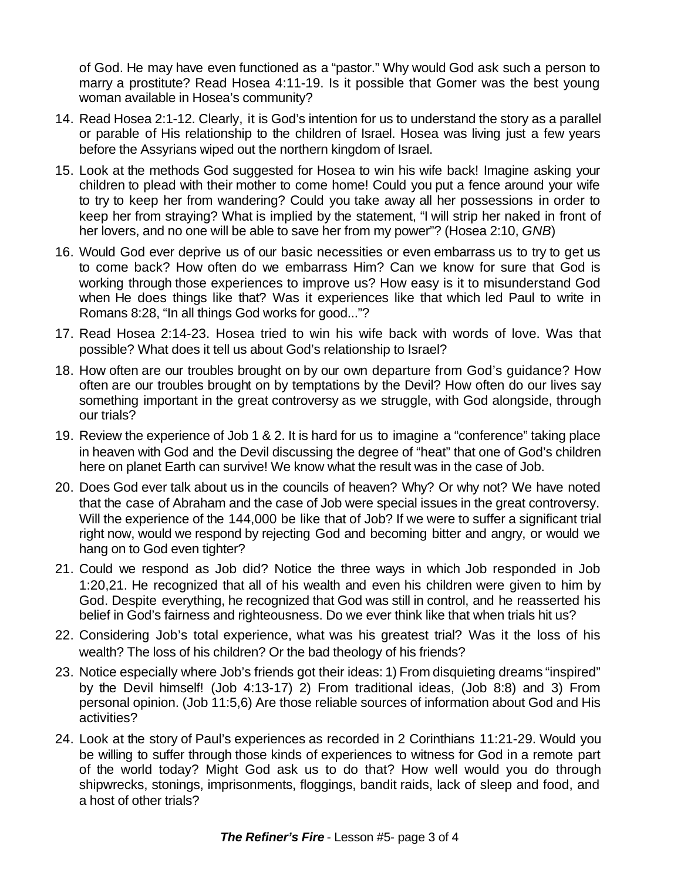of God. He may have even functioned as a "pastor." Why would God ask such a person to marry a prostitute? Read Hosea 4:11-19. Is it possible that Gomer was the best young woman available in Hosea's community?

- 14. Read Hosea 2:1-12. Clearly, it is God's intention for us to understand the story as a parallel or parable of His relationship to the children of Israel. Hosea was living just a few years before the Assyrians wiped out the northern kingdom of Israel.
- 15. Look at the methods God suggested for Hosea to win his wife back! Imagine asking your children to plead with their mother to come home! Could you put a fence around your wife to try to keep her from wandering? Could you take away all her possessions in order to keep her from straying? What is implied by the statement, "I will strip her naked in front of her lovers, and no one will be able to save her from my power"? (Hosea 2:10, *GNB*)
- 16. Would God ever deprive us of our basic necessities or even embarrass us to try to get us to come back? How often do we embarrass Him? Can we know for sure that God is working through those experiences to improve us? How easy is it to misunderstand God when He does things like that? Was it experiences like that which led Paul to write in Romans 8:28, "In all things God works for good..."?
- 17. Read Hosea 2:14-23. Hosea tried to win his wife back with words of love. Was that possible? What does it tell us about God's relationship to Israel?
- 18. How often are our troubles brought on by our own departure from God's guidance? How often are our troubles brought on by temptations by the Devil? How often do our lives say something important in the great controversy as we struggle, with God alongside, through our trials?
- 19. Review the experience of Job 1 & 2. It is hard for us to imagine a "conference" taking place in heaven with God and the Devil discussing the degree of "heat" that one of God's children here on planet Earth can survive! We know what the result was in the case of Job.
- 20. Does God ever talk about us in the councils of heaven? Why? Or why not? We have noted that the case of Abraham and the case of Job were special issues in the great controversy. Will the experience of the 144,000 be like that of Job? If we were to suffer a significant trial right now, would we respond by rejecting God and becoming bitter and angry, or would we hang on to God even tighter?
- 21. Could we respond as Job did? Notice the three ways in which Job responded in Job 1:20,21. He recognized that all of his wealth and even his children were given to him by God. Despite everything, he recognized that God was still in control, and he reasserted his belief in God's fairness and righteousness. Do we ever think like that when trials hit us?
- 22. Considering Job's total experience, what was his greatest trial? Was it the loss of his wealth? The loss of his children? Or the bad theology of his friends?
- 23. Notice especially where Job's friends got their ideas: 1) From disquieting dreams "inspired" by the Devil himself! (Job 4:13-17) 2) From traditional ideas, (Job 8:8) and 3) From personal opinion. (Job 11:5,6) Are those reliable sources of information about God and His activities?
- 24. Look at the story of Paul's experiences as recorded in 2 Corinthians 11:21-29. Would you be willing to suffer through those kinds of experiences to witness for God in a remote part of the world today? Might God ask us to do that? How well would you do through shipwrecks, stonings, imprisonments, floggings, bandit raids, lack of sleep and food, and a host of other trials?